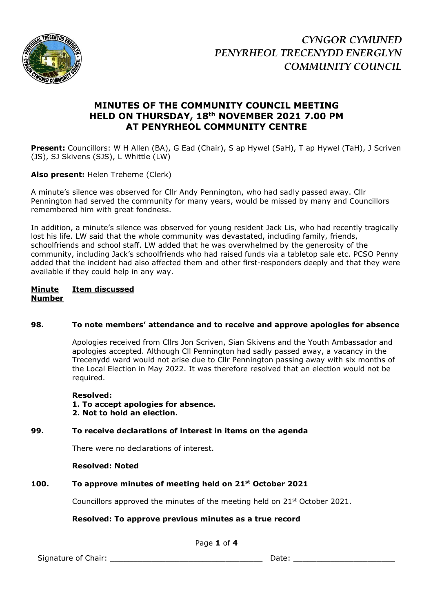

# **MINUTES OF THE COMMUNITY COUNCIL MEETING HELD ON THURSDAY, 18th NOVEMBER 2021 7.00 PM AT PENYRHEOL COMMUNITY CENTRE**

**Present:** Councillors: W H Allen (BA), G Ead (Chair), S ap Hywel (SaH), T ap Hywel (TaH), J Scriven (JS), SJ Skivens (SJS), L Whittle (LW)

**Also present:** Helen Treherne (Clerk)

A minute's silence was observed for Cllr Andy Pennington, who had sadly passed away. Cllr Pennington had served the community for many years, would be missed by many and Councillors remembered him with great fondness.

In addition, a minute's silence was observed for young resident Jack Lis, who had recently tragically lost his life. LW said that the whole community was devastated, including family, friends, schoolfriends and school staff. LW added that he was overwhelmed by the generosity of the community, including Jack's schoolfriends who had raised funds via a tabletop sale etc. PCSO Penny added that the incident had also affected them and other first-responders deeply and that they were available if they could help in any way.

## **Minute Item discussed Number**

# **98. To note members' attendance and to receive and approve apologies for absence**

Apologies received from Cllrs Jon Scriven, Sian Skivens and the Youth Ambassador and apologies accepted. Although Cll Pennington had sadly passed away, a vacancy in the Trecenydd ward would not arise due to Cllr Pennington passing away with six months of the Local Election in May 2022. It was therefore resolved that an election would not be required.

#### **Resolved:**

**1. To accept apologies for absence. 2. Not to hold an election.**

# **99. To receive declarations of interest in items on the agenda**

There were no declarations of interest.

#### **Resolved: Noted**

# **100. To approve minutes of meeting held on 21st October 2021**

Councillors approved the minutes of the meeting held on  $21<sup>st</sup>$  October 2021.

# **Resolved: To approve previous minutes as a true record**

Page **1** of **4**

Signature of Chair: \_\_\_\_\_\_\_\_\_\_\_\_\_\_\_\_\_\_\_\_\_\_\_\_\_\_\_\_\_\_\_\_\_ Date: \_\_\_\_\_\_\_\_\_\_\_\_\_\_\_\_\_\_\_\_\_\_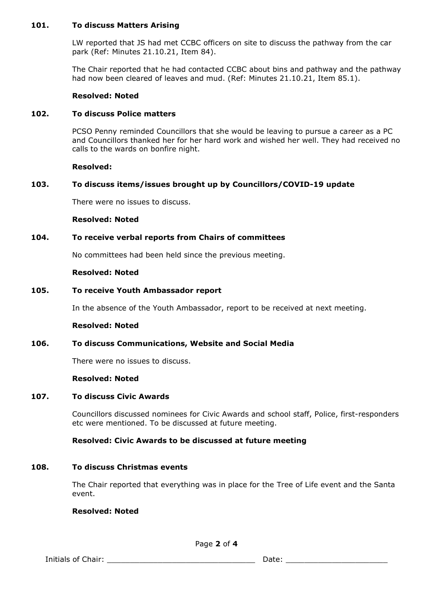## **101. To discuss Matters Arising**

LW reported that JS had met CCBC officers on site to discuss the pathway from the car park (Ref: Minutes 21.10.21, Item 84).

The Chair reported that he had contacted CCBC about bins and pathway and the pathway had now been cleared of leaves and mud. (Ref: Minutes 21.10.21, Item 85.1).

# **Resolved: Noted**

# **102. To discuss Police matters**

PCSO Penny reminded Councillors that she would be leaving to pursue a career as a PC and Councillors thanked her for her hard work and wished her well. They had received no calls to the wards on bonfire night.

#### **Resolved:**

## **103. To discuss items/issues brought up by Councillors/COVID-19 update**

There were no issues to discuss.

#### **Resolved: Noted**

## **104. To receive verbal reports from Chairs of committees**

No committees had been held since the previous meeting.

#### **Resolved: Noted**

## **105. To receive Youth Ambassador report**

In the absence of the Youth Ambassador, report to be received at next meeting.

#### **Resolved: Noted**

#### **106. To discuss Communications, Website and Social Media**

There were no issues to discuss.

#### **Resolved: Noted**

#### **107. To discuss Civic Awards**

Councillors discussed nominees for Civic Awards and school staff, Police, first-responders etc were mentioned. To be discussed at future meeting.

#### **Resolved: Civic Awards to be discussed at future meeting**

#### **108. To discuss Christmas events**

The Chair reported that everything was in place for the Tree of Life event and the Santa event.

#### **Resolved: Noted**

Initials of Chair: \_\_\_\_\_\_\_\_\_\_\_\_\_\_\_\_\_\_\_\_\_\_\_\_\_\_\_\_\_\_\_\_ Date: \_\_\_\_\_\_\_\_\_\_\_\_\_\_\_\_\_\_\_\_\_\_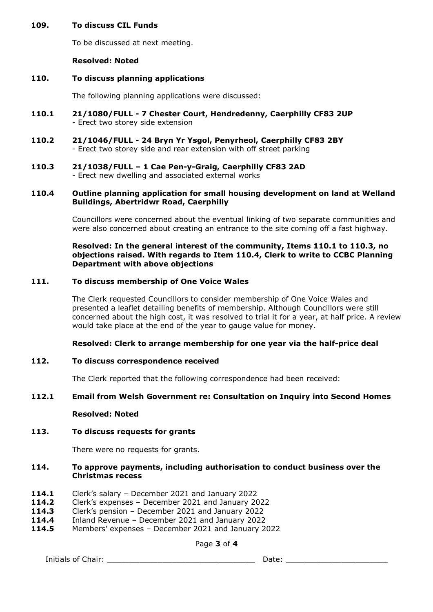## **109. To discuss CIL Funds**

To be discussed at next meeting.

### **Resolved: Noted**

#### **110. To discuss planning applications**

The following planning applications were discussed:

- **110.1 21/1080/FULL - 7 Chester Court, Hendredenny, Caerphilly CF83 2UP** - Erect two storey side extension
- **110.2 21/1046/FULL - 24 Bryn Yr Ysgol, Penyrheol, Caerphilly CF83 2BY** - Erect two storey side and rear extension with off street parking
- **110.3 21/1038/FULL – 1 Cae Pen-y-Graig, Caerphilly CF83 2AD** - Erect new dwelling and associated external works

### **110.4 Outline planning application for small housing development on land at Welland Buildings, Abertridwr Road, Caerphilly**

Councillors were concerned about the eventual linking of two separate communities and were also concerned about creating an entrance to the site coming off a fast highway.

### **Resolved: In the general interest of the community, Items 110.1 to 110.3, no objections raised. With regards to Item 110.4, Clerk to write to CCBC Planning Department with above objections**

## **111. To discuss membership of One Voice Wales**

The Clerk requested Councillors to consider membership of One Voice Wales and presented a leaflet detailing benefits of membership. Although Councillors were still concerned about the high cost, it was resolved to trial it for a year, at half price. A review would take place at the end of the year to gauge value for money.

#### **Resolved: Clerk to arrange membership for one year via the half-price deal**

# **112. To discuss correspondence received**

The Clerk reported that the following correspondence had been received:

# **112.1 Email from Welsh Government re: Consultation on Inquiry into Second Homes**

#### **Resolved: Noted**

# **113. To discuss requests for grants**

There were no requests for grants.

## **114. To approve payments, including authorisation to conduct business over the Christmas recess**

- **114.1** Clerk's salary December 2021 and January 2022
- **114.2** Clerk's expenses December 2021 and January 2022
- **114.3** Clerk's pension December 2021 and January 2022
- **114.4** Inland Revenue December 2021 and January 2022
- **114.5** Members' expenses December 2021 and January 2022

Page **3** of **4**

Initials of Chair: \_\_\_\_\_\_\_\_\_\_\_\_\_\_\_\_\_\_\_\_\_\_\_\_\_\_\_\_\_\_\_\_ Date: \_\_\_\_\_\_\_\_\_\_\_\_\_\_\_\_\_\_\_\_\_\_